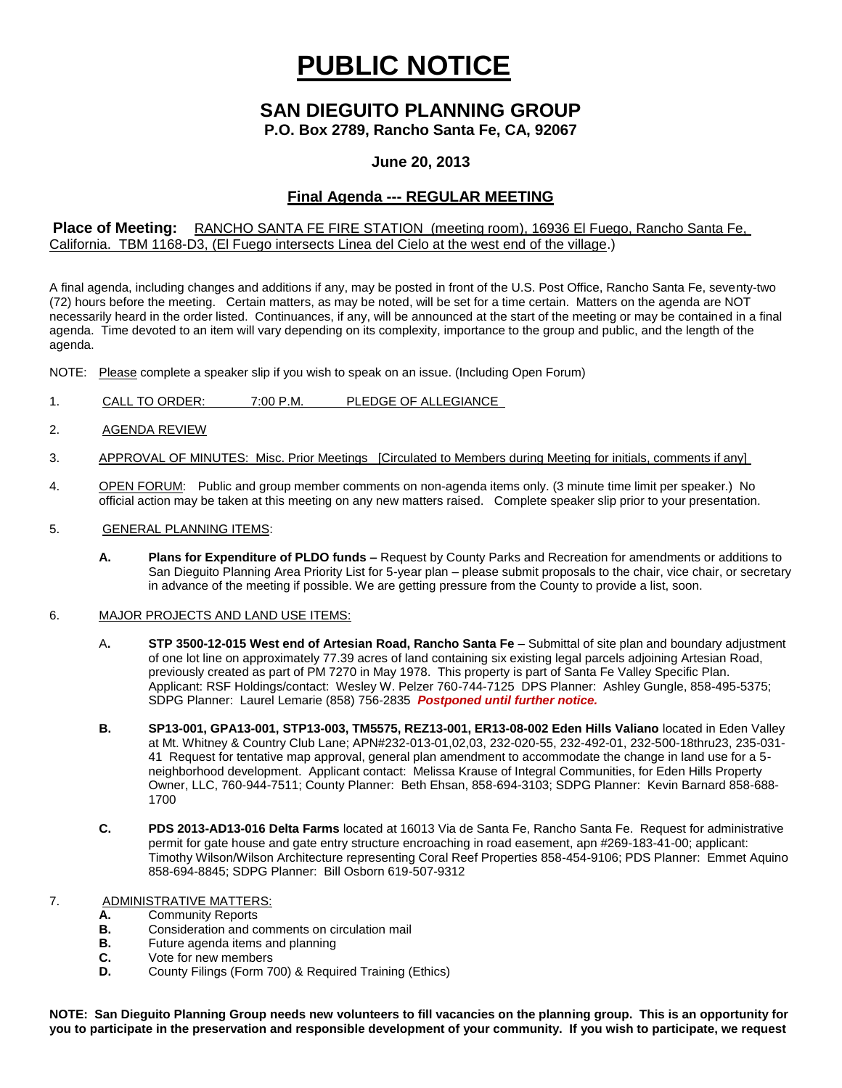# **PUBLIC NOTICE**

## **SAN DIEGUITO PLANNING GROUP**

**P.O. Box 2789, Rancho Santa Fe, CA, 92067**

### **June 20, 2013**

## **Final Agenda --- REGULAR MEETING**

#### **Place of Meeting:** RANCHO SANTA FE FIRE STATION (meeting room), 16936 El Fuego, Rancho Santa Fe, California. TBM 1168-D3, (El Fuego intersects Linea del Cielo at the west end of the village.)

A final agenda, including changes and additions if any, may be posted in front of the U.S. Post Office, Rancho Santa Fe, seventy-two (72) hours before the meeting. Certain matters, as may be noted, will be set for a time certain. Matters on the agenda are NOT necessarily heard in the order listed. Continuances, if any, will be announced at the start of the meeting or may be contained in a final agenda. Time devoted to an item will vary depending on its complexity, importance to the group and public, and the length of the agenda.

NOTE: Please complete a speaker slip if you wish to speak on an issue. (Including Open Forum)

- 1. CALL TO ORDER: 7:00 P.M. PLEDGE OF ALLEGIANCE
- 2. AGENDA REVIEW
- 3. APPROVAL OF MINUTES: Misc. Prior Meetings [Circulated to Members during Meeting for initials, comments if any]
- 4. OPEN FORUM: Public and group member comments on non-agenda items only. (3 minute time limit per speaker.) No official action may be taken at this meeting on any new matters raised. Complete speaker slip prior to your presentation.
- 5. GENERAL PLANNING ITEMS:
	- **A. Plans for Expenditure of PLDO funds –** Request by County Parks and Recreation for amendments or additions to San Dieguito Planning Area Priority List for 5-year plan – please submit proposals to the chair, vice chair, or secretary in advance of the meeting if possible. We are getting pressure from the County to provide a list, soon.

#### 6. MAJOR PROJECTS AND LAND USE ITEMS:

- A**. STP 3500-12-015 West end of Artesian Road, Rancho Santa Fe** Submittal of site plan and boundary adjustment of one lot line on approximately 77.39 acres of land containing six existing legal parcels adjoining Artesian Road, previously created as part of PM 7270 in May 1978. This property is part of Santa Fe Valley Specific Plan. Applicant: RSF Holdings/contact: Wesley W. Pelzer 760-744-7125 DPS Planner: Ashley Gungle, 858-495-5375; SDPG Planner: Laurel Lemarie (858) 756-2835 *Postponed until further notice.*
- **B. SP13-001, GPA13-001, STP13-003, TM5575, REZ13-001, ER13-08-002 Eden Hills Valiano** located in Eden Valley at Mt. Whitney & Country Club Lane; APN#232-013-01,02,03, 232-020-55, 232-492-01, 232-500-18thru23, 235-031- 41 Request for tentative map approval, general plan amendment to accommodate the change in land use for a 5 neighborhood development. Applicant contact: Melissa Krause of Integral Communities, for Eden Hills Property Owner, LLC, 760-944-7511; County Planner: Beth Ehsan, 858-694-3103; SDPG Planner: Kevin Barnard 858-688- 1700
- **C. PDS 2013-AD13-016 Delta Farms** located at 16013 Via de Santa Fe, Rancho Santa Fe. Request for administrative permit for gate house and gate entry structure encroaching in road easement, apn #269-183-41-00; applicant: Timothy Wilson/Wilson Architecture representing Coral Reef Properties 858-454-9106; PDS Planner: Emmet Aquino 858-694-8845; SDPG Planner: Bill Osborn 619-507-9312
- 7. ADMINISTRATIVE MATTERS:
	- **A.** Community Reports<br>**B.** Consideration and com-
	- **B.** Consideration and comments on circulation mail<br>**B.** Future agenda items and planning
	- **B.** Future agenda items and planning
	- **C.** Vote for new members
	- **D.** County Filings (Form 700) & Required Training (Ethics)

**NOTE: San Dieguito Planning Group needs new volunteers to fill vacancies on the planning group. This is an opportunity for you to participate in the preservation and responsible development of your community. If you wish to participate, we request**